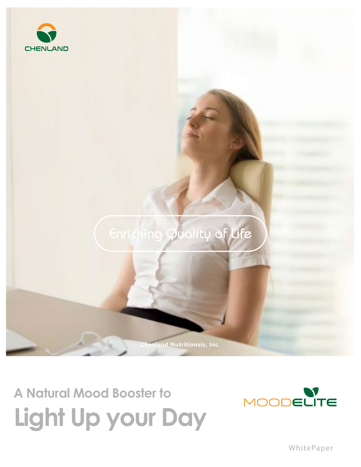

## Enriching Quality of Life

**Chenland Nutritionals, Inc.**

## **A Natural Mood Booster to Light Up your Day**



WhitePaper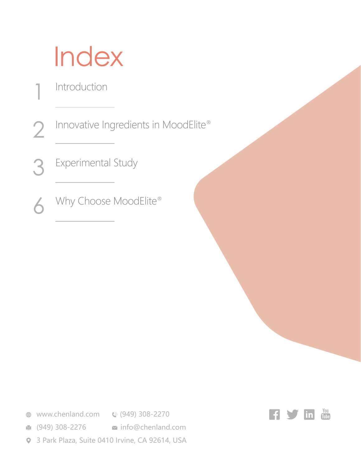## Index

Introduction

1

Innovative Ingredients in MoodElite® 2

Experimental Study 3

Why Choose MoodElite® 6

**<sup>●</sup>** www.chenland.com **●** (949) 308-2270

**■ (949) 308-2276 info@chenland.com** 

3 Park Plaza, Suite 0410 Irvine, CA 92614, USA